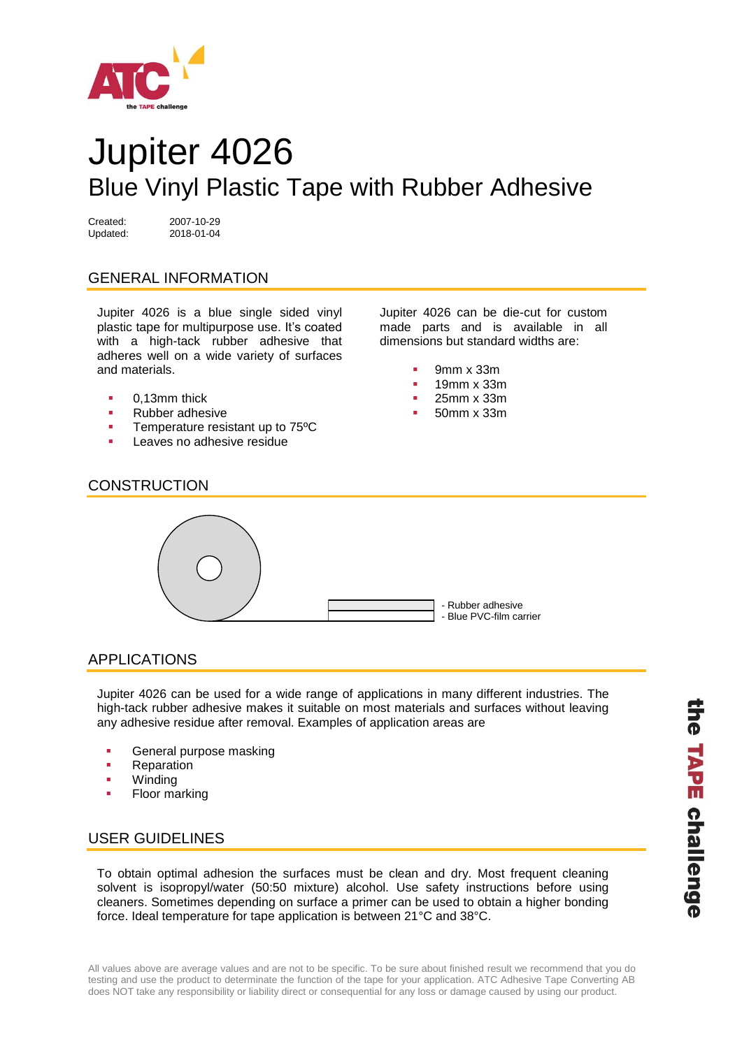

# Jupiter 4026 Blue Vinyl Plastic Tape with Rubber Adhesive

Updated: 2018-01-04

Created: 2007-10-29

## GENERAL INFORMATION

Jupiter 4026 is a blue single sided vinyl plastic tape for multipurpose use. It's coated with a high-tack rubber adhesive that adheres well on a wide variety of surfaces and materials.

- 0,13mm thick
- Rubber adhesive
- **Temperature resistant up to 75°C**
- Leaves no adhesive residue

Jupiter 4026 can be die-cut for custom made parts and is available in all dimensions but standard widths are:

- 9mm x 33m
- 19mm x 33m
- 25mm x 33m
- 50mm x 33m

#### **CONSTRUCTION**



#### APPLICATIONS

Jupiter 4026 can be used for a wide range of applications in many different industries. The high-tack rubber adhesive makes it suitable on most materials and surfaces without leaving any adhesive residue after removal. Examples of application areas are

- General purpose masking
- Reparation
- Winding
- Floor marking

#### USER GUIDELINES

To obtain optimal adhesion the surfaces must be clean and dry. Most frequent cleaning solvent is isopropyl/water (50:50 mixture) alcohol. Use safety instructions before using cleaners. Sometimes depending on surface a primer can be used to obtain a higher bonding force. Ideal temperature for tape application is between 21°C and 38°C.